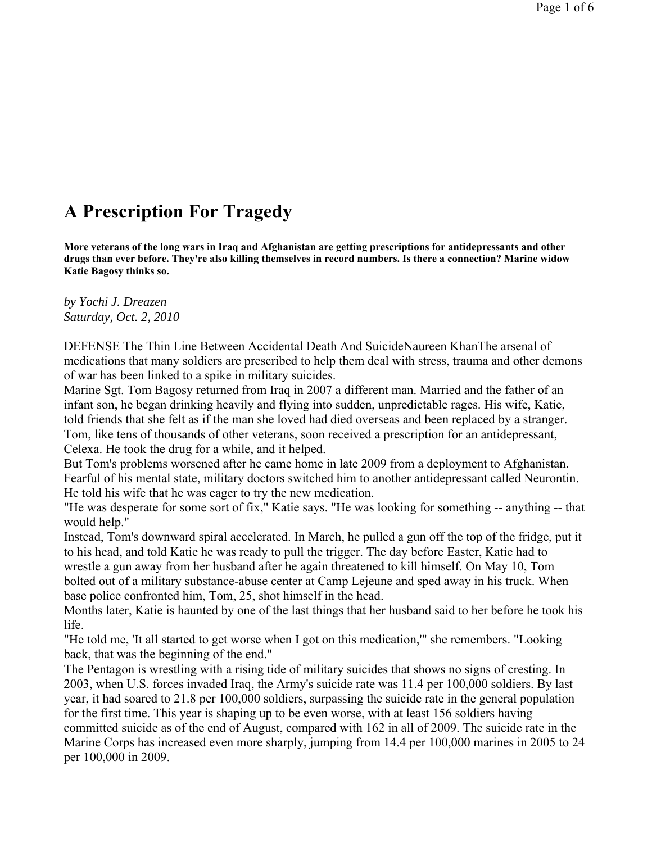## **A Prescription For Tragedy**

**More veterans of the long wars in Iraq and Afghanistan are getting prescriptions for antidepressants and other drugs than ever before. They're also killing themselves in record numbers. Is there a connection? Marine widow Katie Bagosy thinks so.**

*by Yochi J. Dreazen Saturday, Oct. 2, 2010*

DEFENSE The Thin Line Between Accidental Death And SuicideNaureen KhanThe arsenal of medications that many soldiers are prescribed to help them deal with stress, trauma and other demons of war has been linked to a spike in military suicides.

Marine Sgt. Tom Bagosy returned from Iraq in 2007 a different man. Married and the father of an infant son, he began drinking heavily and flying into sudden, unpredictable rages. His wife, Katie, told friends that she felt as if the man she loved had died overseas and been replaced by a stranger. Tom, like tens of thousands of other veterans, soon received a prescription for an antidepressant, Celexa. He took the drug for a while, and it helped.

But Tom's problems worsened after he came home in late 2009 from a deployment to Afghanistan. Fearful of his mental state, military doctors switched him to another antidepressant called Neurontin. He told his wife that he was eager to try the new medication.

"He was desperate for some sort of fix," Katie says. "He was looking for something -- anything -- that would help."

Instead, Tom's downward spiral accelerated. In March, he pulled a gun off the top of the fridge, put it to his head, and told Katie he was ready to pull the trigger. The day before Easter, Katie had to wrestle a gun away from her husband after he again threatened to kill himself. On May 10, Tom bolted out of a military substance-abuse center at Camp Lejeune and sped away in his truck. When base police confronted him, Tom, 25, shot himself in the head.

Months later, Katie is haunted by one of the last things that her husband said to her before he took his life.

"He told me, 'It all started to get worse when I got on this medication,'" she remembers. "Looking back, that was the beginning of the end."

The Pentagon is wrestling with a rising tide of military suicides that shows no signs of cresting. In 2003, when U.S. forces invaded Iraq, the Army's suicide rate was 11.4 per 100,000 soldiers. By last year, it had soared to 21.8 per 100,000 soldiers, surpassing the suicide rate in the general population for the first time. This year is shaping up to be even worse, with at least 156 soldiers having committed suicide as of the end of August, compared with 162 in all of 2009. The suicide rate in the Marine Corps has increased even more sharply, jumping from 14.4 per 100,000 marines in 2005 to 24 per 100,000 in 2009.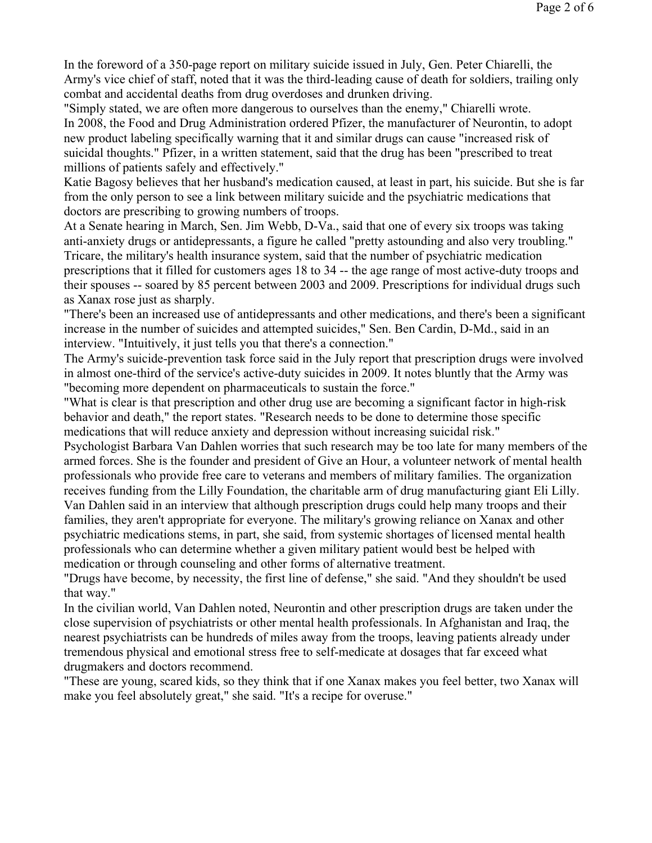In the foreword of a 350-page report on military suicide issued in July, Gen. Peter Chiarelli, the Army's vice chief of staff, noted that it was the third-leading cause of death for soldiers, trailing only combat and accidental deaths from drug overdoses and drunken driving.

"Simply stated, we are often more dangerous to ourselves than the enemy," Chiarelli wrote. In 2008, the Food and Drug Administration ordered Pfizer, the manufacturer of Neurontin, to adopt new product labeling specifically warning that it and similar drugs can cause "increased risk of suicidal thoughts." Pfizer, in a written statement, said that the drug has been "prescribed to treat millions of patients safely and effectively."

Katie Bagosy believes that her husband's medication caused, at least in part, his suicide. But she is far from the only person to see a link between military suicide and the psychiatric medications that doctors are prescribing to growing numbers of troops.

At a Senate hearing in March, Sen. Jim Webb, D-Va., said that one of every six troops was taking anti-anxiety drugs or antidepressants, a figure he called "pretty astounding and also very troubling." Tricare, the military's health insurance system, said that the number of psychiatric medication prescriptions that it filled for customers ages 18 to 34 -- the age range of most active-duty troops and their spouses -- soared by 85 percent between 2003 and 2009. Prescriptions for individual drugs such as Xanax rose just as sharply.

"There's been an increased use of antidepressants and other medications, and there's been a significant increase in the number of suicides and attempted suicides," Sen. Ben Cardin, D-Md., said in an interview. "Intuitively, it just tells you that there's a connection."

The Army's suicide-prevention task force said in the July report that prescription drugs were involved in almost one-third of the service's active-duty suicides in 2009. It notes bluntly that the Army was "becoming more dependent on pharmaceuticals to sustain the force."

"What is clear is that prescription and other drug use are becoming a significant factor in high-risk behavior and death," the report states. "Research needs to be done to determine those specific medications that will reduce anxiety and depression without increasing suicidal risk."

Psychologist Barbara Van Dahlen worries that such research may be too late for many members of the armed forces. She is the founder and president of Give an Hour, a volunteer network of mental health professionals who provide free care to veterans and members of military families. The organization receives funding from the Lilly Foundation, the charitable arm of drug manufacturing giant Eli Lilly. Van Dahlen said in an interview that although prescription drugs could help many troops and their families, they aren't appropriate for everyone. The military's growing reliance on Xanax and other psychiatric medications stems, in part, she said, from systemic shortages of licensed mental health professionals who can determine whether a given military patient would best be helped with medication or through counseling and other forms of alternative treatment.

"Drugs have become, by necessity, the first line of defense," she said. "And they shouldn't be used that way."

In the civilian world, Van Dahlen noted, Neurontin and other prescription drugs are taken under the close supervision of psychiatrists or other mental health professionals. In Afghanistan and Iraq, the nearest psychiatrists can be hundreds of miles away from the troops, leaving patients already under tremendous physical and emotional stress free to self-medicate at dosages that far exceed what drugmakers and doctors recommend.

"These are young, scared kids, so they think that if one Xanax makes you feel better, two Xanax will make you feel absolutely great," she said. "It's a recipe for overuse."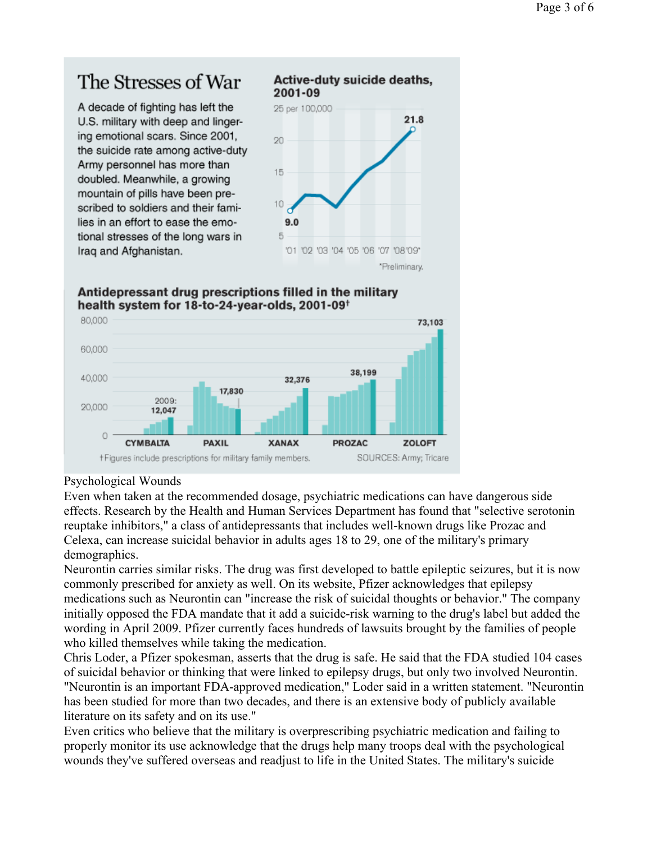## The Stresses of War

A decade of fighting has left the U.S. military with deep and lingering emotional scars. Since 2001, the suicide rate among active-duty Army personnel has more than doubled. Meanwhile, a growing mountain of pills have been prescribed to soldiers and their families in an effort to ease the emotional stresses of the long wars in Iraq and Afghanistan.



## Antidepressant drug prescriptions filled in the military health system for 18-to-24-year-olds, 2001-09<sup>+</sup>



## Psychological Wounds

Even when taken at the recommended dosage, psychiatric medications can have dangerous side effects. Research by the Health and Human Services Department has found that "selective serotonin reuptake inhibitors," a class of antidepressants that includes well-known drugs like Prozac and Celexa, can increase suicidal behavior in adults ages 18 to 29, one of the military's primary demographics.

Neurontin carries similar risks. The drug was first developed to battle epileptic seizures, but it is now commonly prescribed for anxiety as well. On its website, Pfizer acknowledges that epilepsy medications such as Neurontin can "increase the risk of suicidal thoughts or behavior." The company initially opposed the FDA mandate that it add a suicide-risk warning to the drug's label but added the wording in April 2009. Pfizer currently faces hundreds of lawsuits brought by the families of people who killed themselves while taking the medication.

Chris Loder, a Pfizer spokesman, asserts that the drug is safe. He said that the FDA studied 104 cases of suicidal behavior or thinking that were linked to epilepsy drugs, but only two involved Neurontin. "Neurontin is an important FDA-approved medication," Loder said in a written statement. "Neurontin has been studied for more than two decades, and there is an extensive body of publicly available literature on its safety and on its use."

Even critics who believe that the military is overprescribing psychiatric medication and failing to properly monitor its use acknowledge that the drugs help many troops deal with the psychological wounds they've suffered overseas and readjust to life in the United States. The military's suicide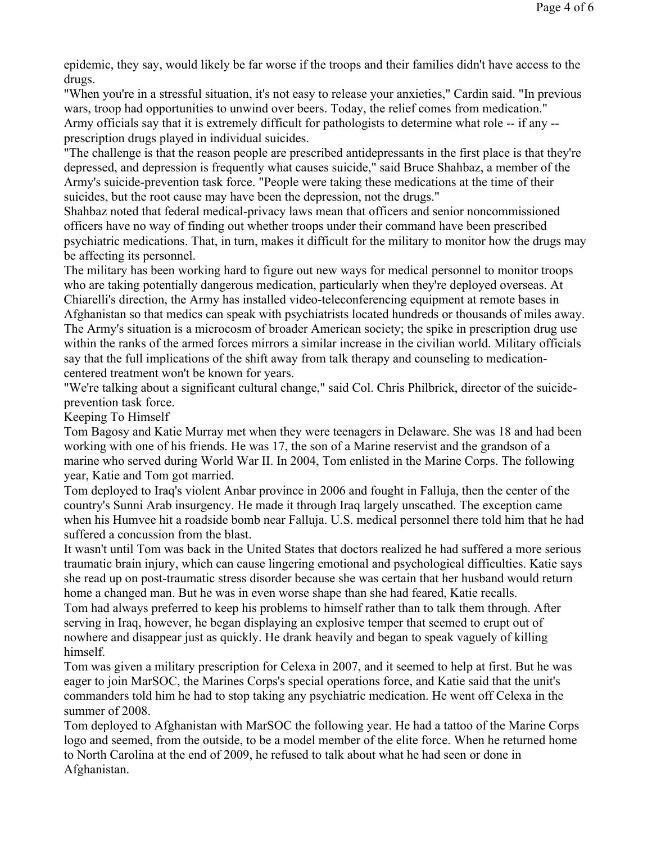epidemic, they say, would likely be far worse if the troops and their families didn't have access to the drugs.

"When you're in a stressful situation, it's not easy to release your anxieties," Cardin said. "In previous wars, troop had opportunities to unwind over beers. Today, the relief comes from medication." Army officials say that it is extremely difficult for pathologists to determine what role -- if any - prescription drugs played in individual suicides.

"The challenge is that the reason people are prescribed antidepressants in the first place is that they're depressed, and depression is frequently what causes suicide," said Bruce Shahbaz, a member of the Army's suicide-prevention task force. "People were taking these medications at the time of their suicides, but the root cause may have been the depression, not the drugs."

Shahbaz noted that federal medical-privacy laws mean that officers and senior noncommissioned officers have no way of finding out whether troops under their command have been prescribed psychiatric medications. That, in turn, makes it difficult for the military to monitor how the drugs may be affecting its personnel.

The military has been working hard to figure out new ways for medical personnel to monitor troops who are taking potentially dangerous medication, particularly when they're deployed overseas. At Chiarelli's direction, the Army has installed video-teleconferencing equipment at remote bases in Afghanistan so that medics can speak with psychiatrists located hundreds or thousands of miles away. The Army's situation is a microcosm of broader American society; the spike in prescription drug use

within the ranks of the armed forces mirrors a similar increase in the civilian world. Military officials say that the full implications of the shift away from talk therapy and counseling to medicationcentered treatment won't be known for years.

"We're talking about a significant cultural change," said Col. Chris Philbrick, director of the suicideprevention task force.

Keeping To Himself

Tom Bagosy and Katie Murray met when they were teenagers in Delaware. She was 18 and had been working with one of his friends. He was 17, the son of a Marine reservist and the grandson of a marine who served during World War II. In 2004, Tom enlisted in the Marine Corps. The following year, Katie and Tom got married.

Tom deployed to Iraq's violent Anbar province in 2006 and fought in Falluja, then the center of the country's Sunni Arab insurgency. He made it through Iraq largely unscathed. The exception came when his Humvee hit a roadside bomb near Falluja. U.S. medical personnel there told him that he had suffered a concussion from the blast.

It wasn't until Tom was back in the United States that doctors realized he had suffered a more serious traumatic brain injury, which can cause lingering emotional and psychological difficulties. Katie says she read up on post-traumatic stress disorder because she was certain that her husband would return home a changed man. But he was in even worse shape than she had feared, Katie recalls.

Tom had always preferred to keep his problems to himself rather than to talk them through. After serving in Iraq, however, he began displaying an explosive temper that seemed to erupt out of nowhere and disappear just as quickly. He drank heavily and began to speak vaguely of killing himself.

Tom was given a military prescription for Celexa in 2007, and it seemed to help at first. But he was eager to join MarSOC, the Marines Corps's special operations force, and Katie said that the unit's commanders told him he had to stop taking any psychiatric medication. He went off Celexa in the summer of 2008.

Tom deployed to Afghanistan with MarSOC the following year. He had a tattoo of the Marine Corps logo and seemed, from the outside, to be a model member of the elite force. When he returned home to North Carolina at the end of 2009, he refused to talk about what he had seen or done in Afghanistan.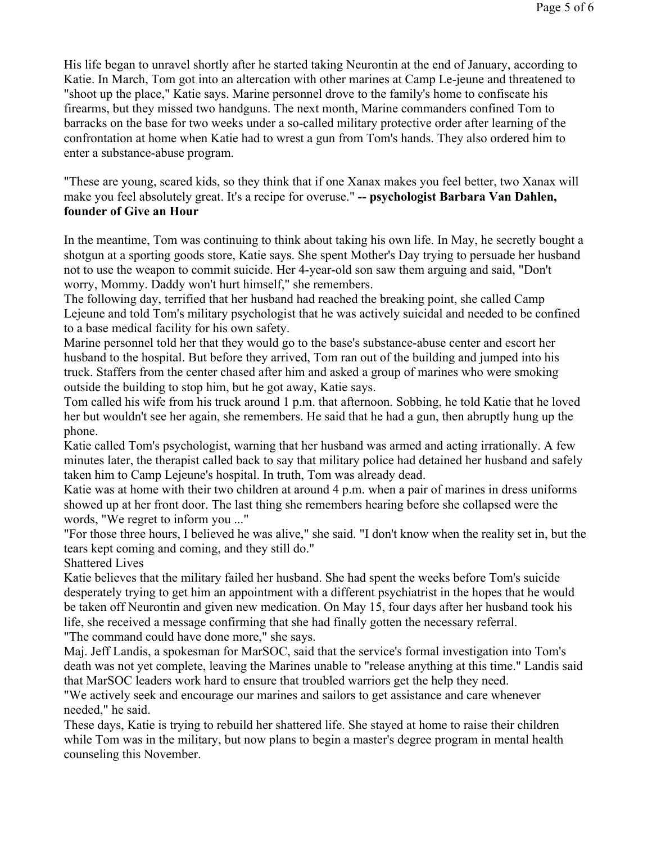His life began to unravel shortly after he started taking Neurontin at the end of January, according to Katie. In March, Tom got into an altercation with other marines at Camp Le-jeune and threatened to "shoot up the place," Katie says. Marine personnel drove to the family's home to confiscate his firearms, but they missed two handguns. The next month, Marine commanders confined Tom to barracks on the base for two weeks under a so-called military protective order after learning of the confrontation at home when Katie had to wrest a gun from Tom's hands. They also ordered him to enter a substance-abuse program.

"These are young, scared kids, so they think that if one Xanax makes you feel better, two Xanax will make you feel absolutely great. It's a recipe for overuse." **-- psychologist Barbara Van Dahlen, founder of Give an Hour**

In the meantime, Tom was continuing to think about taking his own life. In May, he secretly bought a shotgun at a sporting goods store, Katie says. She spent Mother's Day trying to persuade her husband not to use the weapon to commit suicide. Her 4-year-old son saw them arguing and said, "Don't worry, Mommy. Daddy won't hurt himself," she remembers.

The following day, terrified that her husband had reached the breaking point, she called Camp Lejeune and told Tom's military psychologist that he was actively suicidal and needed to be confined to a base medical facility for his own safety.

Marine personnel told her that they would go to the base's substance-abuse center and escort her husband to the hospital. But before they arrived, Tom ran out of the building and jumped into his truck. Staffers from the center chased after him and asked a group of marines who were smoking outside the building to stop him, but he got away, Katie says.

Tom called his wife from his truck around 1 p.m. that afternoon. Sobbing, he told Katie that he loved her but wouldn't see her again, she remembers. He said that he had a gun, then abruptly hung up the phone.

Katie called Tom's psychologist, warning that her husband was armed and acting irrationally. A few minutes later, the therapist called back to say that military police had detained her husband and safely taken him to Camp Lejeune's hospital. In truth, Tom was already dead.

Katie was at home with their two children at around 4 p.m. when a pair of marines in dress uniforms showed up at her front door. The last thing she remembers hearing before she collapsed were the words, "We regret to inform you ..."

"For those three hours, I believed he was alive," she said. "I don't know when the reality set in, but the tears kept coming and coming, and they still do."

Shattered Lives

Katie believes that the military failed her husband. She had spent the weeks before Tom's suicide desperately trying to get him an appointment with a different psychiatrist in the hopes that he would be taken off Neurontin and given new medication. On May 15, four days after her husband took his life, she received a message confirming that she had finally gotten the necessary referral.

"The command could have done more," she says.

Maj. Jeff Landis, a spokesman for MarSOC, said that the service's formal investigation into Tom's death was not yet complete, leaving the Marines unable to "release anything at this time." Landis said that MarSOC leaders work hard to ensure that troubled warriors get the help they need.

"We actively seek and encourage our marines and sailors to get assistance and care whenever needed," he said.

These days, Katie is trying to rebuild her shattered life. She stayed at home to raise their children while Tom was in the military, but now plans to begin a master's degree program in mental health counseling this November.